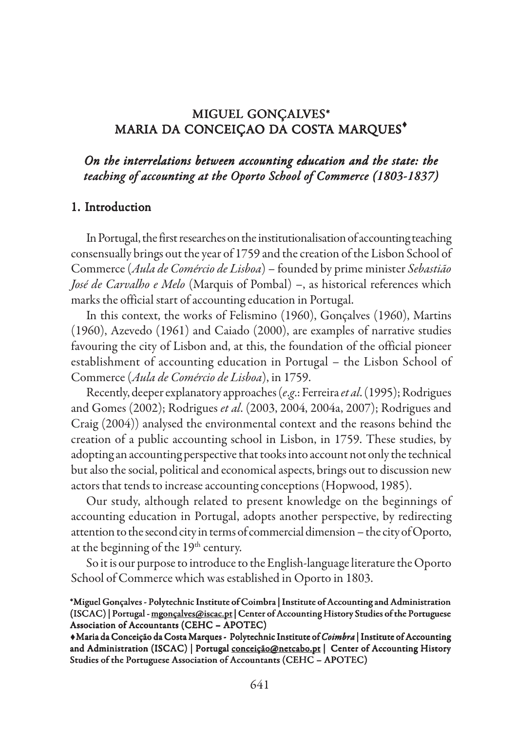# MIGUEL GONÇALVES\* MARIA DA CONCEIÇAO DA COSTA MARQUES<sup>\*</sup>

### *On the interrelations between accounting education and the state: the teaching of accounting at the Oporto School of Commerce (1803-1837) teaching accounting at Oporto Commerce (1803-1837)*

#### 1. Introduction

In Portugal, the first researches on the institutionalisation of accounting teaching consensually brings out the year of 1759 and the creation of the Lisbon School of Commerce (*Aula de Comércio de Lisboa*) – founded by prime minister *Sebastião José de Carvalho e Melo* (Marquis of Pombal) –, as historical references which marks the official start of accounting education in Portugal.

In this context, the works of Felismino (1960), Gonçalves (1960), Martins (1960), Azevedo (1961) and Caiado (2000), are examples of narrative studies favouring the city of Lisbon and, at this, the foundation of the official pioneer establishment of accounting education in Portugal – the Lisbon School of Commerce (*Aula de Comércio de Lisboa*), in 1759.

Recently, deeper explanatory approaches (*e*.*g*.: Ferreira *et al*. (1995); Rodrigues and Gomes (2002); Rodrigues *et al*. (2003, 2004, 2004a, 2007); Rodrigues and Craig (2004)) analysed the environmental context and the reasons behind the creation of a public accounting school in Lisbon, in 1759. These studies, by adopting an accounting perspective that tooks into account not only the technical but also the social, political and economical aspects, brings out to discussion new actors that tends to increase accounting conceptions (Hopwood, 1985).

Our study, although related to present knowledge on the beginnings of accounting education in Portugal, adopts another perspective, by redirecting attention to the second city in terms of commercial dimension – the city of Oporto, at the beginning of the 19<sup>th</sup> century.

So it is our purpose to introduce to the English-language literature the Oporto School of Commerce which was established in Oporto in 1803.

#### \*Miguel Gonçalves - Polytechnic Institute of Coimbra | Institute of Accounting and Administration (ISCAC) | Portugal - mgonçalves@iscac.pt | Center of Accounting History Studies of the Portuguese Association of Accountants (CEHC – APOTEC)

- Maria da Conceição da Costa Marques - Polytechnic Institute of da Conceição Marques of *Coimbra* | Institute of Accounting and Administration (ISCAC) | Portugal conceição@netcabo.pt | Center of Accounting History Studies of the Portuguese Association of Accountants (CEHC – APOTEC)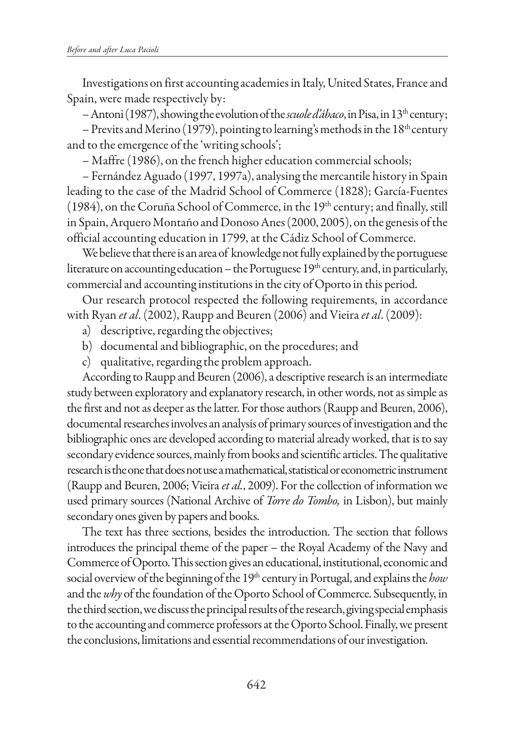Investigations on first accounting academies in Italy, United States, France and Spain, were made respectively by:

– Antoni (1987), showing the evolution of the *scuole d'ábaco*, in Pisa, in 13th century;

– Previts and Merino (1979), pointing to learning's methods in the  $18<sup>th</sup>$  century and to the emergence of the 'writing schools';

– Maffre (1986), on the french higher education commercial schools;

– Fernández Aguado (1997, 1997a), analysing the mercantile history in Spain leading to the case of the Madrid School of Commerce (1828); García-Fuentes (1984), on the Coruña School of Commerce, in the  $19<sup>th</sup>$  century; and finally, still in Spain, Arquero Montaño and Donoso Anes (2000, 2005), on the genesis of the official accounting education in 1799, at the Cádiz School of Commerce.

We believe that there is an area of knowledge not fully explained by the portuguese literature on accounting education – the Portuguese 19<sup>th</sup> century, and, in particularly, commercial and accounting institutions in the city of Oporto in this period.

Our research protocol respected the following requirements, in accordance with Ryan *et al*. (2002), Raupp and Beuren (2006) and Vieira *et al*. (2009):

- a) descriptive, regarding the objectives;
- b) documental and bibliographic, on the procedures; and
- c) qualitative, regarding the problem approach.

According to Raupp and Beuren (2006), a descriptive research is an intermediate study between exploratory and explanatory research, in other words, not as simple as the first and not as deeper as the latter. For those authors (Raupp and Beuren, 2006), documental researches involves an analysis of primary sources of investigation and the bibliographic ones are developed according to material already worked, that is to say secondary evidence sources, mainly from books and scientific articles. The qualitative research is the one that does not use a mathematical, statistical or econometric instrument (Raupp and Beuren, 2006; Vieira *et al.*, 2009). For the collection of information we used primary sources (National Archive of *Torre do Tombo,* in Lisbon), but mainly secondary ones given by papers and books.

The text has three sections, besides the introduction. The section that follows introduces the principal theme of the paper – the Royal Academy of the Navy and Commerce of Oporto. This section gives an educational, institutional, economic and social overview of the beginning of the 19<sup>th</sup> century in Portugal, and explains the *how* and the *why* of the foundation of the Oporto School of Commerce. Subsequently, in the third section, we discuss the principal results of the research, giving special emphasis to the accounting and commerce professors at the Oporto School. Finally, we present the conclusions, limitations and essential recommendations of our investigation.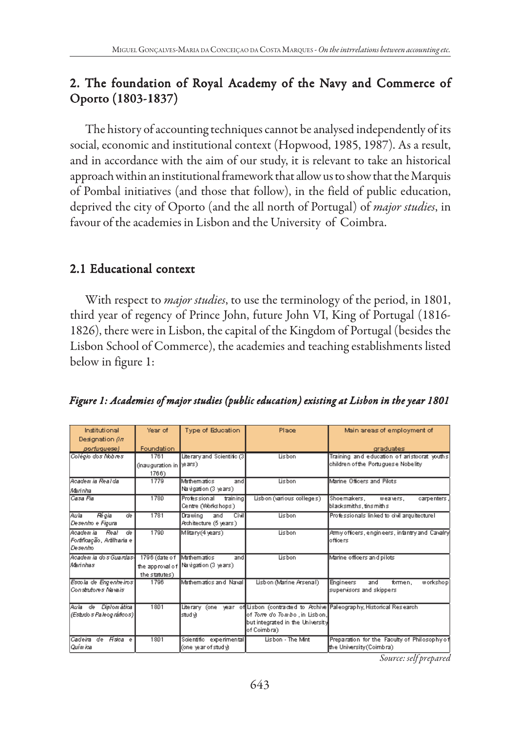## 2. The foundation of Royal Academy of the Navy and Commerce of Oporto (1803-1837) (1803-1837)

The history of accounting techniques cannot be analysed independently of its social, economic and institutional context (Hopwood, 1985, 1987). As a result, and in accordance with the aim of our study, it is relevant to take an historical approach within an institutional framework that allow us to show that the Marquis of Pombal initiatives (and those that follow), in the field of public education, deprived the city of Oporto (and the all north of Portugal) of *major studies*, in favour of the academies in Lisbon and the University of Coimbra.

### 2.1 Educational context

With respect to *major studies*, to use the terminology of the period, in 1801, third year of regency of Prince John, future John VI, King of Portugal (1816- 1826), there were in Lisbon, the capital of the Kingdom of Portugal (besides the Lisbon School of Commerce), the academies and teaching establishments listed below in figure 1:

| Figure 1: Academies of major studies (public education) existing at Lisbon in the year 1801 |  |  |
|---------------------------------------------------------------------------------------------|--|--|
|---------------------------------------------------------------------------------------------|--|--|

| Institutional<br>Designation (in<br>portuguese)                         | Year of<br>Foundation                    | <b>Type of Education</b>                                   | Place                                                                                      | Main areas of employment of<br>araduates                                           |
|-------------------------------------------------------------------------|------------------------------------------|------------------------------------------------------------|--------------------------------------------------------------------------------------------|------------------------------------------------------------------------------------|
| Colégio dos Nobres                                                      | 1761<br>(inauguration in years)<br>1766) | Literary and Scientific (3)                                | Lisbon                                                                                     | Training and education of aristocrat youths<br>children of the Portuguese Nobelity |
| Academ ia Real da<br>Marinha                                            | 1779                                     | Mathematics<br>and<br>Na vigation (3 years)                | Lisbon                                                                                     | Marine Officers and Pilots                                                         |
| Casa Pia                                                                | 1780                                     | Professional<br>training<br>Centre (Workshops)             | Lisbon (various colleges)                                                                  | Shoemakers.<br>carpenters,<br>weavers.<br>blacksmiths, tins miths                  |
| Régia<br>Aula<br>de<br>Desenho e Figura                                 | 1781                                     | Civil<br>Drawing<br>and<br>Architecture (5 years)          | Lisbon                                                                                     | Professionals linked to divil arquitecture!                                        |
| <b>Real</b><br>de<br>Academ ia<br>Fortificação, Artilharia e<br>Desenho | 1790                                     | Mlitary(4 years)                                           | Lisbon                                                                                     | Army officers, engineers, infantry and Cavalry<br>lofficers                        |
| Academ ia do s Guardas-<br>Marinhas                                     | 1796 (date of<br>the statutes)           | Mathematics<br>and<br>the approval of Navigation (3 years) | Lisbon                                                                                     | Marine officers and pilots                                                         |
| Escola de Engenheiros<br>Construtores Navais                            | 1796                                     | Mathematics and Naval                                      | Lisbon (Marine Arsenal)                                                                    | workshop<br>Engineers<br>and<br>formen.<br>supervisors and skippers                |
| Diplomática<br>Aula de<br>(Estudo s Paleog ráficos)                     | 1801                                     | Lite rarv<br>(one<br>stud v)                               | of <i>Torre do Tombo</i> , in Lisbon,<br>but integrated in the University<br>lof Coimbra). | year of Lisbon (contracted to Atchive Paleography, Historical Research             |
| <i><b>Hsica</b></i> e<br>Cadeira de<br>Química                          | 1801                                     | Scientific experimental<br>(one ∖ear of stud√)             | Lisbon - The Mint                                                                          | Preparation for the Faculty of Philosophy of<br>the University (Coimbra)           |

*Source: self prepared*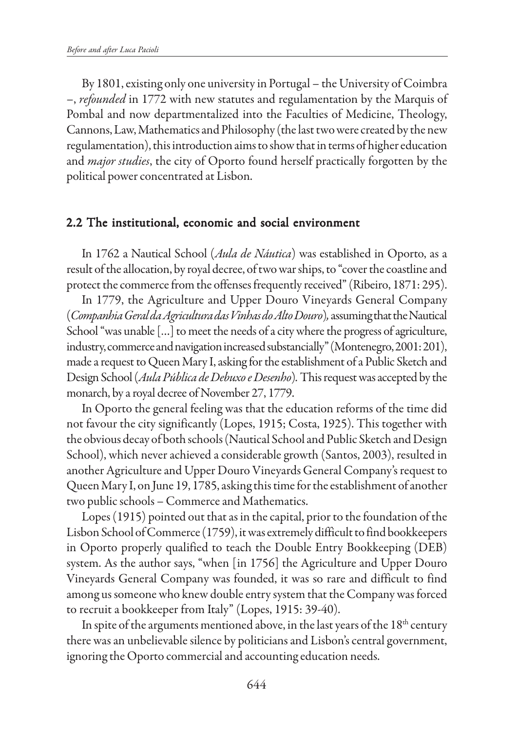By 1801, existing only one university in Portugal – the University of Coimbra –, *refounded* in 1772 with new statutes and regulamentation by the Marquis of Pombal and now departmentalized into the Faculties of Medicine, Theology, Cannons, Law, Mathematics and Philosophy (the last two were created by the new regulamentation), this introduction aims to show that in terms of higher education and *major studies*, the city of Oporto found herself practically forgotten by the political power concentrated at Lisbon.

#### 2.2 The institutional, economic and social environment

In 1762 a Nautical School (*Aula de Náutica*) was established in Oporto, as a result of the allocation, by royal decree, of two war ships, to "cover the coastline and protect the commerce from the offenses frequently received" (Ribeiro, 1871: 295).

In 1779, the Agriculture and Upper Douro Vineyards General Company (*Companhia Geral da Agricultura das Vinhas do Alto Douro*)*,* assuming that the Nautical School "was unable […] to meet the needs of a city where the progress of agriculture, industry, commerce and navigation increased substancially" (Montenegro, 2001: 201), made a request to Queen Mary I, asking for the establishment of a Public Sketch and Design School (*Aula Pública de Debuxo e Desenho*)*.* This request was accepted by the monarch, by a royal decree of November 27, 1779.

In Oporto the general feeling was that the education reforms of the time did not favour the city significantly (Lopes, 1915; Costa, 1925). This together with the obvious decay of both schools (Nautical School and Public Sketch and Design School), which never achieved a considerable growth (Santos, 2003), resulted in another Agriculture and Upper Douro Vineyards General Company's request to Queen Mary I, on June 19, 1785, asking this time for the establishment of another two public schools – Commerce and Mathematics.

Lopes (1915) pointed out that as in the capital, prior to the foundation of the Lisbon School of Commerce (1759), it was extremely difficult to find bookkeepers in Oporto properly qualified to teach the Double Entry Bookkeeping (DEB) system. As the author says, "when [in 1756] the Agriculture and Upper Douro Vineyards General Company was founded, it was so rare and difficult to find among us someone who knew double entry system that the Company was forced to recruit a bookkeeper from Italy" (Lopes, 1915: 39-40).

In spite of the arguments mentioned above, in the last years of the  $18<sup>th</sup>$  century there was an unbelievable silence by politicians and Lisbon's central government, ignoring the Oporto commercial and accounting education needs.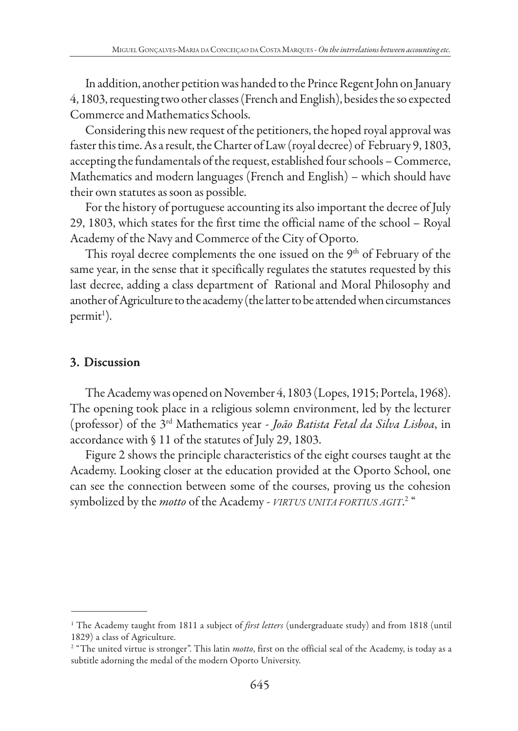In addition, another petition was handed to the Prince Regent John on January 4, 1803, requesting two other classes (French and English), besides the so expected Commerce and Mathematics Schools.

Considering this new request of the petitioners, the hoped royal approval was faster this time. As a result, the Charter of Law (royal decree) of February 9, 1803, accepting the fundamentals of the request, established four schools – Commerce, Mathematics and modern languages (French and English) – which should have their own statutes as soon as possible.

For the history of portuguese accounting its also important the decree of July 29, 1803, which states for the first time the official name of the school – Royal Academy of the Navy and Commerce of the City of Oporto.

This royal decree complements the one issued on the 9<sup>th</sup> of February of the same year, in the sense that it specifically regulates the statutes requested by this last decree, adding a class department of Rational and Moral Philosophy and another of Agriculture to the academy (the latter to be attended when circumstances permit<sup>1</sup>).

### 3. Discussion

The Academy was opened on November 4, 1803 (Lopes, 1915; Portela, 1968). The opening took place in a religious solemn environment, led by the lecturer (professor) of the 3rd Mathematics year - *João Batista Fetal da Silva Lisboa*, in accordance with § 11 of the statutes of July 29, 1803.

Figure 2 shows the principle characteristics of the eight courses taught at the Academy. Looking closer at the education provided at the Oporto School, one can see the connection between some of the courses, proving us the cohesion symbolized by the *motto* of the Academy - *VIRTUS UNITA FORTIUS AGIT*. 2 "

<sup>1</sup> The Academy taught from 1811 a subject of *first letters* (undergraduate study) and from 1818 (until 1829) a class of Agriculture.

<sup>2</sup> "The united virtue is stronger". This latin *motto*, first on the official seal of the Academy, is today as a subtitle adorning the medal of the modern Oporto University.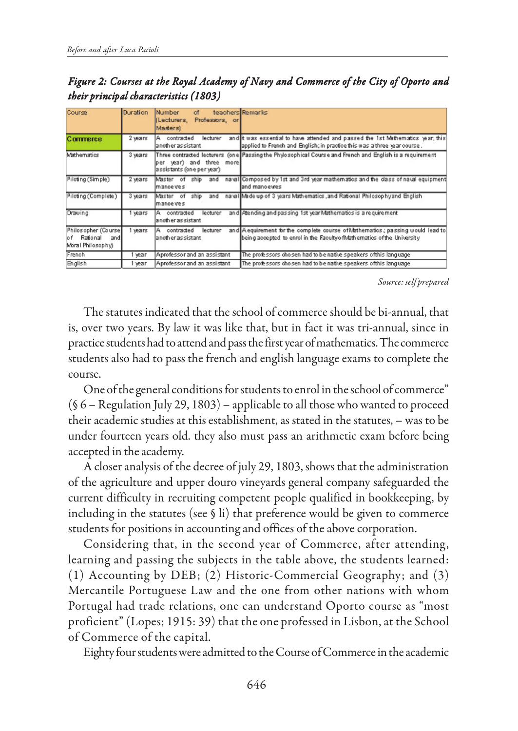| Figure 2: Courses at the Royal Academy of Navy and Commerce of the City of Oporto and |  |
|---------------------------------------------------------------------------------------|--|
| their principal characteristics (1803)                                                |  |

| Course                                                               | <b>Duration</b> | Number<br>of<br>Professors, or<br>(Lecturers,<br>Masters) | teachers Remarks                                                                                                                                            |
|----------------------------------------------------------------------|-----------------|-----------------------------------------------------------|-------------------------------------------------------------------------------------------------------------------------------------------------------------|
| <b>Commerce</b>                                                      | 2 years         | lecturer<br>contracted<br>А<br>another as sistant         | and it was essential to have attended and passed the 1st Mathematics year; this<br>applied to French and English; in practice this was a three year course. |
| Mathematics                                                          | 3 years         | per year) and three<br>more<br>assistants (one per year)  | Three contracted lecturers (one Passing the Phylosophical Course and French and English is a requirement                                                    |
| Piloting (Simple)                                                    | 2 years         | Master of<br>ship<br>and<br>manoe ves                     | naival Composed by 1st and 3rd year mathematics and the class of naival equipment<br>and manoevres                                                          |
| Piloting (Complete)                                                  | 3 years         | Master of<br>ship<br>and<br>manoe ves                     | navailMade up of 3 years Mathematics , and Rational Philosophyand English                                                                                   |
| Drawing                                                              | years           | lecturer<br>contracted<br>А<br>anotherassistant           | and Atending and passing 1st year Mathematics is a requirement                                                                                              |
| Philosopher (Course)<br>Rational<br>and<br>lo f<br>Moral Philosophy) | 1 years         | lecturer<br>contracted<br>А<br>anotherassistant           | and A equirement for the complete course of Mathematics; passing would lead to<br>being accepted to enrol in the Facultyo flylathematics of the University  |
| French                                                               | 1 year          | Aprofessor and an assistant                               | The professors chosen had to be native speakers ofthis language                                                                                             |
| English                                                              | 1 year          | Aprofessor and an assistant                               | The professors chosen had to be native speakers ofthis language                                                                                             |

*Source: self prepared*

The statutes indicated that the school of commerce should be bi-annual, that is, over two years. By law it was like that, but in fact it was tri-annual, since in practice students had to attend and pass the first year of mathematics. The commerce students also had to pass the french and english language exams to complete the course.

One of the general conditions for students to enrol in the school of commerce" (§ 6 – Regulation July 29, 1803) – applicable to all those who wanted to proceed their academic studies at this establishment, as stated in the statutes, – was to be under fourteen years old. they also must pass an arithmetic exam before being accepted in the academy.

A closer analysis of the decree of july 29, 1803, shows that the administration of the agriculture and upper douro vineyards general company safeguarded the current difficulty in recruiting competent people qualified in bookkeeping, by including in the statutes (see § li) that preference would be given to commerce students for positions in accounting and offices of the above corporation.

Considering that, in the second year of Commerce, after attending, learning and passing the subjects in the table above, the students learned: (1) Accounting by DEB; (2) Historic-Commercial Geography; and (3) Mercantile Portuguese Law and the one from other nations with whom Portugal had trade relations, one can understand Oporto course as "most proficient" (Lopes; 1915: 39) that the one professed in Lisbon, at the School of Commerce of the capital.

Eighty four students were admitted to the Course of Commerce in the academic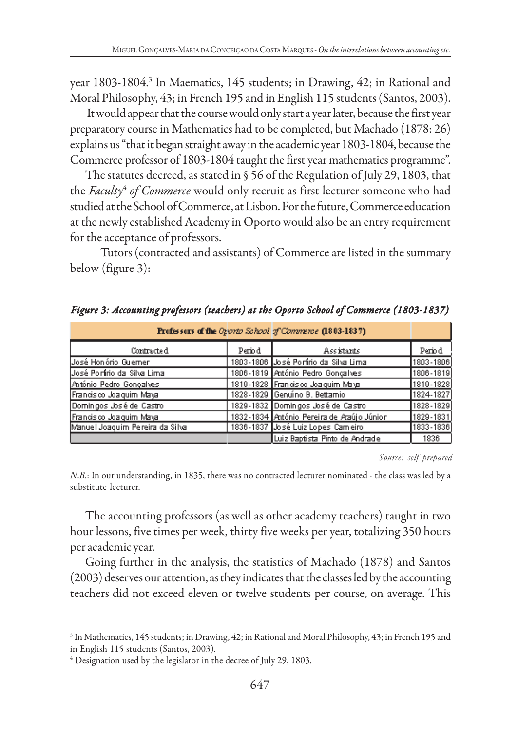year 1803-1804.<sup>3</sup> In Maematics, 145 students; in Drawing, 42; in Rational and Moral Philosophy, 43; in French 195 and in English 115 students (Santos, 2003).

 It would appear that the course would only start a year later, because the first year preparatory course in Mathematics had to be completed, but Machado (1878: 26) explains us "that it began straight away in the academic year 1803-1804, because the Commerce professor of 1803-1804 taught the first year mathematics programme".

The statutes decreed, as stated in § 56 of the Regulation of July 29, 1803, that the *Faculty<sup>4</sup> of Commerce* would only recruit as first lecturer someone who had studied at the School of Commerce, at Lisbon. For the future, Commerce education at the newly established Academy in Oporto would also be an entry requirement for the acceptance of professors.

Tutors (contracted and assistants) of Commerce are listed in the summary below (figure 3):

| Professors of the Oponto School of Commerce (1803-1837) |        |                                            |           |  |  |
|---------------------------------------------------------|--------|--------------------------------------------|-----------|--|--|
| Contracted                                              | Period | Assistants                                 | Period    |  |  |
| José Honório Guerner                                    |        | 1803-1806 José Portirio da Silva Lima      | 1803-1806 |  |  |
| José Porírio da Silva Lima                              |        | 1806-1819 António Pedro Gonçalves          | 1806-1819 |  |  |
| António Pedro Goncalves                                 |        | 1819-1828 Francisco Joaquim Maya           | 1819-1828 |  |  |
| Francisco Joaquim Maya                                  |        | 1828-1829 Genuino B. Bettamio              | 1824-1827 |  |  |
| Domingos José de Castro                                 |        | 1829-1832 Domingos José de Castro          | 1828-1829 |  |  |
| Francisco Joaquim Maya                                  |        | 1832-1834 António Pereira de Ataújo Júnior | 1829-1831 |  |  |
| Manuel Joaquim Pereira da Silva                         |        | 1836-1837 José Luiz Lopes Cameiro          | 1833-1836 |  |  |
|                                                         |        | Luiz Baptista Pinto de Andrade             | 1836      |  |  |

*Figure 3: Accounting professors (teachers) at the Oporto School of Commerce (1803-1837)*

Source: self prepared

*N*.*B*.: In our understanding, in 1835, there was no contracted lecturer nominated - the class was led by a substitute lecturer.

The accounting professors (as well as other academy teachers) taught in two hour lessons, five times per week, thirty five weeks per year, totalizing 350 hours per academic year.

Going further in the analysis, the statistics of Machado (1878) and Santos (2003) deserves our attention, as they indicates that the classes led by the accounting teachers did not exceed eleven or twelve students per course, on average. This

 $^3$  In Mathematics, 145 students; in Drawing, 42; in Rational and Moral Philosophy, 43; in French 195 and in English 115 students (Santos, 2003).

 $^4$  Designation used by the legislator in the decree of July 29, 1803.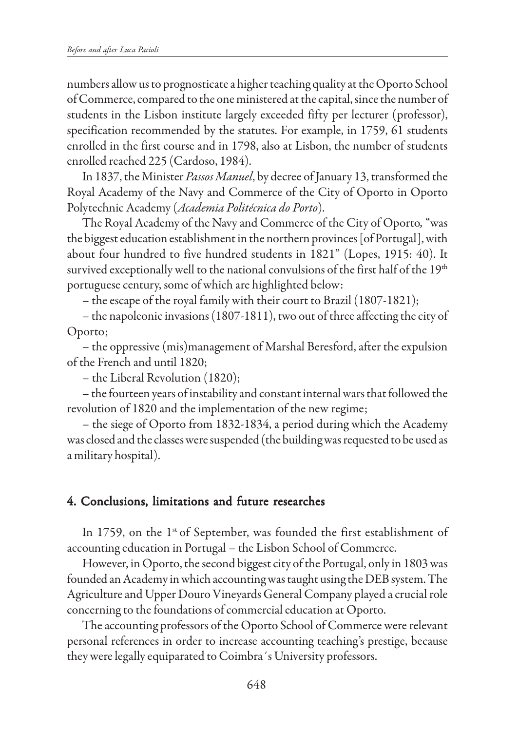numbers allow us to prognosticate a higher teaching quality at the Oporto School of Commerce, compared to the one ministered at the capital, since the number of students in the Lisbon institute largely exceeded fifty per lecturer (professor), specification recommended by the statutes. For example, in 1759, 61 students enrolled in the first course and in 1798, also at Lisbon, the number of students enrolled reached 225 (Cardoso, 1984).

In 1837, the Minister *Passos Manuel*, by decree of January 13, transformed the Royal Academy of the Navy and Commerce of the City of Oporto in Oporto Polytechnic Academy (*Academia Politécnica do Porto*).

The Royal Academy of the Navy and Commerce of the City of Oporto*,* "was the biggest education establishment in the northern provinces [of Portugal], with about four hundred to five hundred students in 1821" (Lopes, 1915: 40). It survived exceptionally well to the national convulsions of the first half of the 19<sup>th</sup> portuguese century, some of which are highlighted below:

– the escape of the royal family with their court to Brazil (1807-1821);

– the napoleonic invasions (1807-1811), two out of three affecting the city of Oporto;

– the oppressive (mis)management of Marshal Beresford, after the expulsion of the French and until 1820;

– the Liberal Revolution (1820);

– the fourteen years of instability and constant internal wars that followed the revolution of 1820 and the implementation of the new regime;

– the siege of Oporto from 1832-1834, a period during which the Academy was closed and the classes were suspended (the building was requested to be used as a military hospital).

### 4. Conclusions, limitations and future researches

In 1759, on the  $1<sup>st</sup>$  of September, was founded the first establishment of accounting education in Portugal – the Lisbon School of Commerce.

However, in Oporto, the second biggest city of the Portugal, only in 1803 was founded an Academy in which accounting was taught using the DEB system. The Agriculture and Upper Douro Vineyards General Company played a crucial role concerning to the foundations of commercial education at Oporto.

The accounting professors of the Oporto School of Commerce were relevant personal references in order to increase accounting teaching's prestige, because they were legally equiparated to Coimbra´s University professors.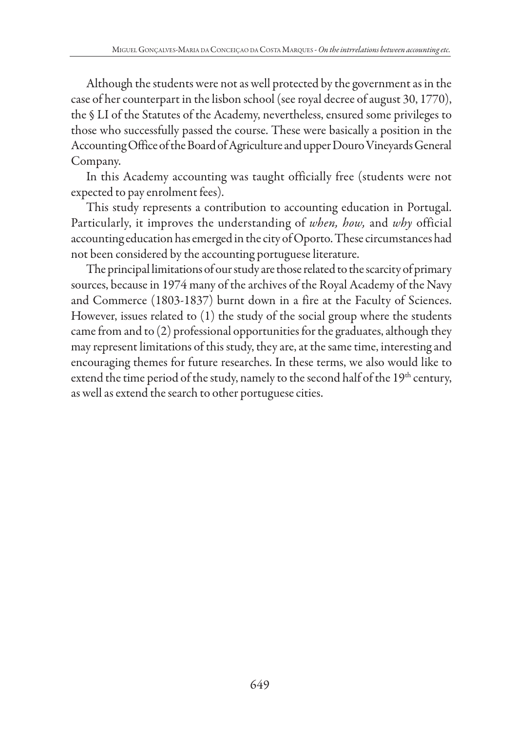Although the students were not as well protected by the government as in the case of her counterpart in the lisbon school (see royal decree of august 30, 1770), the § LI of the Statutes of the Academy, nevertheless, ensured some privileges to those who successfully passed the course. These were basically a position in the Accounting Office of the Board of Agriculture and upper Douro Vineyards General Company.

In this Academy accounting was taught officially free (students were not expected to pay enrolment fees).

This study represents a contribution to accounting education in Portugal. Particularly, it improves the understanding of *when, how,* and *why* official accounting education has emerged in the city of Oporto. These circumstances had not been considered by the accounting portuguese literature.

The principal limitations of our study are those related to the scarcity of primary sources, because in 1974 many of the archives of the Royal Academy of the Navy and Commerce (1803-1837) burnt down in a fire at the Faculty of Sciences. However, issues related to (1) the study of the social group where the students came from and to (2) professional opportunities for the graduates, although they may represent limitations of this study, they are, at the same time, interesting and encouraging themes for future researches. In these terms, we also would like to extend the time period of the study, namely to the second half of the  $19<sup>th</sup>$  century, as well as extend the search to other portuguese cities.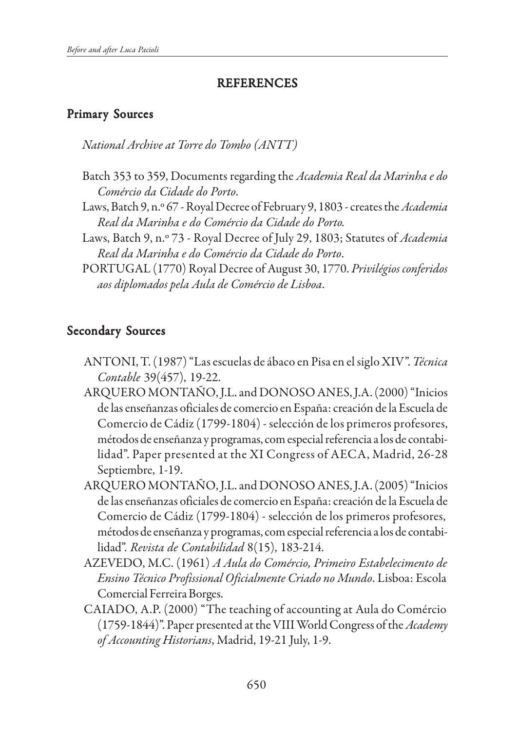### **REFERENCES**

# Primary Sources

*National Archive at Torre do Tombo (ANTT)*

- Batch 353 to 359, Documents regarding the *Academia Real da Marinha e do Comércio da Cidade do Porto*.
- Laws, Batch 9, n.º 67 Royal Decree of February 9, 1803 creates the *Academia Real da Marinha e do Comércio da Cidade do Porto.*
- Laws, Batch 9, n.º 73 Royal Decree of July 29, 1803; Statutes of *Academia Real da Marinha e do Comércio da Cidade do Porto*.
- PORTUGAL (1770) Royal Decree of August 30, 1770. *Privilégios conferidos aos diplomados pela Aula de Comércio de Lisboa*.

# Secondary Sources

- ANTONI, T. (1987) "Las escuelas de ábaco en Pisa en el siglo XIV". *Técnica Contable* 39(457), 19-22.
- ARQUERO MONTAÑO, J.L. and DONOSO ANES, J.A. (2000) "Inicios de las enseñanzas oficiales de comercio en España: creación de la Escuela de Comercio de Cádiz (1799-1804) - selección de los primeros profesores, métodos de enseñanza y programas, com especial referencia a los de contabilidad". Paper presented at the XI Congress of AECA, Madrid, 26-28 Septiembre, 1-19.
- ARQUERO MONTAÑO, J.L. and DONOSO ANES, J.A. (2005) "Inicios de las enseñanzas oficiales de comercio en España: creación de la Escuela de Comercio de Cádiz (1799-1804) - selección de los primeros profesores, métodos de enseñanza y programas, com especial referencia a los de contabilidad". *Revista de Contabilidad* 8(15), 183-214.
- AZEVEDO, M.C. (1961) *A Aula do Comércio, Primeiro Estabelecimento de Ensino Técnico Profissional Oficialmente Criado no Mundo*. Lisboa: Escola Comercial Ferreira Borges.
- CAIADO, A.P. (2000) "The teaching of accounting at Aula do Comércio (1759-1844)". Paper presented at the VIII World Congress of the *Academy of Accounting Historians*, Madrid, 19-21 July, 1-9.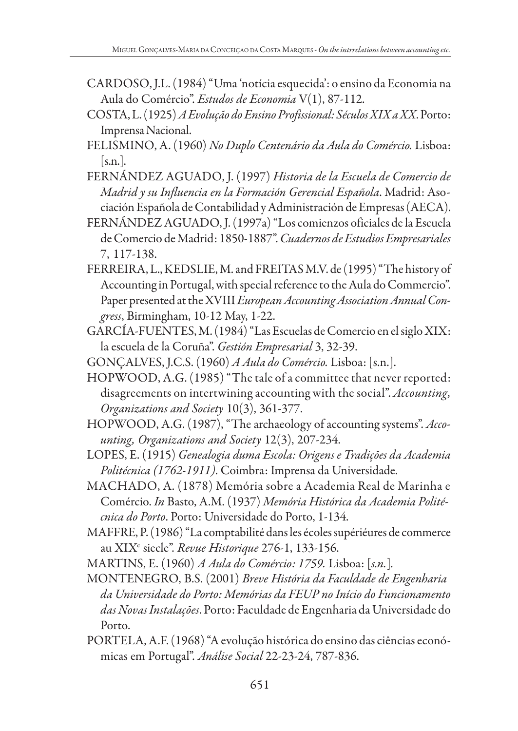- CARDOSO, J.L. (1984) "Uma 'notícia esquecida': o ensino da Economia na Aula do Comércio". *Estudos de Economia* V(1), 87-112.
- COSTA, L. (1925) *A Evolução do Ensino Profissional: Séculos XIX a XX*. Porto: Imprensa Nacional.
- FELISMINO, A. (1960) *No Duplo Centenário da Aula do Comércio.* Lisboa:  $[s.n.]$ .
- FERNÁNDEZ AGUADO, J. (1997) *Historia de la Escuela de Comercio de Madrid y su Influencia en la Formación Gerencial Española*. Madrid: Asociación Española de Contabilidad y Administración de Empresas (AECA).
- FERNÁNDEZ AGUADO, J. (1997a) "Los comienzos oficiales de la Escuela de Comercio de Madrid: 1850-1887". *Cuadernos de Estudios Empresariales* 7, 117-138.
- FERREIRA, L., KEDSLIE, M. and FREITAS M.V. de (1995) "The history of Accounting in Portugal, with special reference to the Aula do Commercio". Paper presented at the XVIII *European Accounting Association Annual Congress*, Birmingham, 10-12 May, 1-22.
- GARCÍA-FUENTES, M. (1984) "Las Escuelas de Comercio en el siglo XIX: la escuela de la Coruña". *Gestión Empresarial* 3, 32-39.
- GONÇALVES, J.C.S. (1960) *A Aula do Comércio.* Lisboa: [s.n.].
- HOPWOOD, A.G. (1985) "The tale of a committee that never reported: disagreements on intertwining accounting with the social". *Accounting, Organizations and Society* 10(3), 361-377.
- HOPWOOD, A.G. (1987), "The archaeology of accounting systems". *Accounting, Organizations and Society* 12(3), 207-234.
- LOPES, E. (1915) *Genealogia duma Escola: Origens e Tradições da Academia Politécnica (1762-1911)*. Coimbra: Imprensa da Universidade.
- MACHADO, A. (1878) Memória sobre a Academia Real de Marinha e Comércio. *In* Basto, A.M. (1937) *Memória Histórica da Academia Politécnica do Porto*. Porto: Universidade do Porto, 1-134.
- MAFFRE, P. (1986) "La comptabilité dans les écoles supériéures de commerce au XIXe siecle". *Revue Historique* 276-1, 133-156.
- MARTINS, E. (1960) *A Aula do Comércio: 1759.* Lisboa: [*s.n.*]*.*
- MONTENEGRO, B.S. (2001) *Breve História da Faculdade de Engenharia da Universidade do Porto: Memórias da FEUP no Início do Funcionamento das Novas Instalações*. Porto: Faculdade de Engenharia da Universidade do Porto.
- PORTELA, A.F. (1968) "A evolução histórica do ensino das ciências económicas em Portugal". *Análise Social* 22-23-24, 787-836.